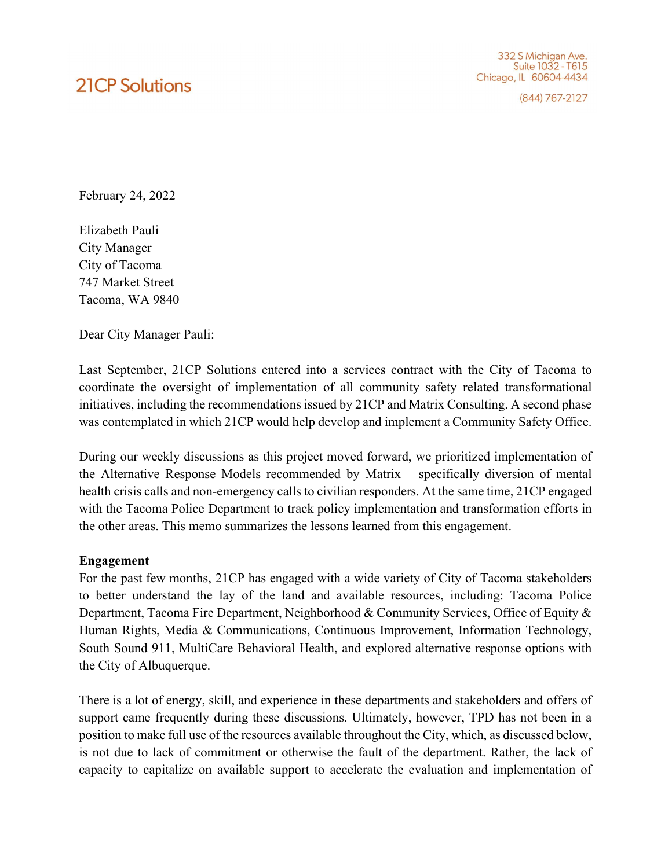# **21CP Solutions**

332 S Michigan Ave. Suite 1032 - T615 Chicago, IL 60604-4434

(844) 767-2127

February 24, 2022

Elizabeth Pauli City Manager City of Tacoma 747 Market Street Tacoma, WA 9840

Dear City Manager Pauli:

Last September, 21CP Solutions entered into a services contract with the City of Tacoma to coordinate the oversight of implementation of all community safety related transformational initiatives, including the recommendations issued by 21CP and Matrix Consulting. A second phase was contemplated in which 21CP would help develop and implement a Community Safety Office.

During our weekly discussions as this project moved forward, we prioritized implementation of the Alternative Response Models recommended by Matrix – specifically diversion of mental health crisis calls and non-emergency calls to civilian responders. At the same time, 21CP engaged with the Tacoma Police Department to track policy implementation and transformation efforts in the other areas. This memo summarizes the lessons learned from this engagement.

#### Engagement

For the past few months, 21CP has engaged with a wide variety of City of Tacoma stakeholders to better understand the lay of the land and available resources, including: Tacoma Police Department, Tacoma Fire Department, Neighborhood & Community Services, Office of Equity & Human Rights, Media & Communications, Continuous Improvement, Information Technology, South Sound 911, MultiCare Behavioral Health, and explored alternative response options with the City of Albuquerque.

There is a lot of energy, skill, and experience in these departments and stakeholders and offers of support came frequently during these discussions. Ultimately, however, TPD has not been in a position to make full use of the resources available throughout the City, which, as discussed below, is not due to lack of commitment or otherwise the fault of the department. Rather, the lack of capacity to capitalize on available support to accelerate the evaluation and implementation of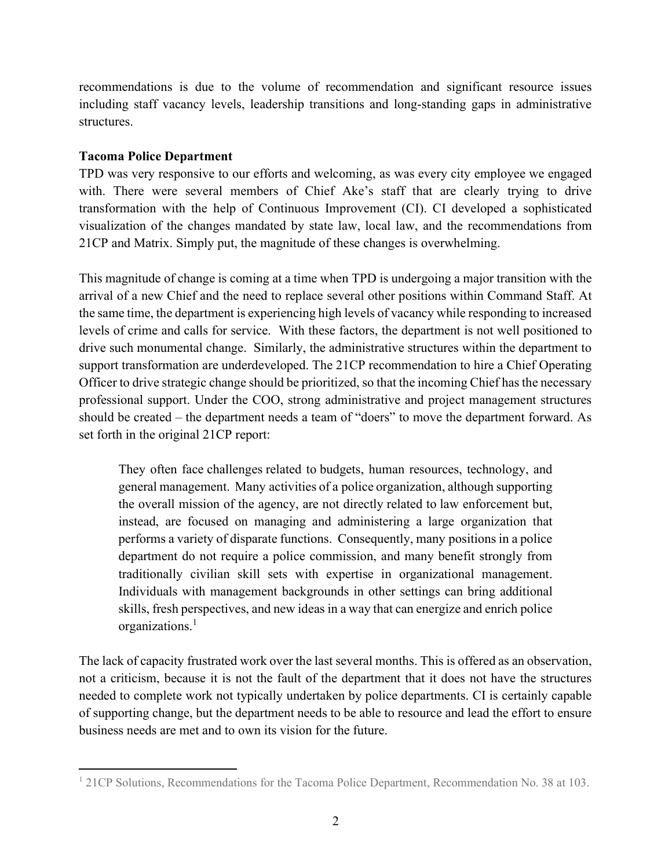recommendations is due to the volume of recommendation and significant resource issues including staff vacancy levels, leadership transitions and long-standing gaps in administrative structures.

## Tacoma Police Department

TPD was very responsive to our efforts and welcoming, as was every city employee we engaged with. There were several members of Chief Ake's staff that are clearly trying to drive transformation with the help of Continuous Improvement (CI). CI developed a sophisticated visualization of the changes mandated by state law, local law, and the recommendations from 21CP and Matrix. Simply put, the magnitude of these changes is overwhelming.

This magnitude of change is coming at a time when TPD is undergoing a major transition with the arrival of a new Chief and the need to replace several other positions within Command Staff. At the same time, the department is experiencing high levels of vacancy while responding to increased levels of crime and calls for service. With these factors, the department is not well positioned to drive such monumental change. Similarly, the administrative structures within the department to support transformation are underdeveloped. The 21CP recommendation to hire a Chief Operating Officer to drive strategic change should be prioritized, so that the incoming Chief has the necessary professional support. Under the COO, strong administrative and project management structures should be created – the department needs a team of "doers" to move the department forward. As set forth in the original 21CP report:

They often face challenges related to budgets, human resources, technology, and general management. Many activities of a police organization, although supporting the overall mission of the agency, are not directly related to law enforcement but, instead, are focused on managing and administering a large organization that performs a variety of disparate functions. Consequently, many positions in a police department do not require a police commission, and many benefit strongly from traditionally civilian skill sets with expertise in organizational management. Individuals with management backgrounds in other settings can bring additional skills, fresh perspectives, and new ideas in a way that can energize and enrich police organizations.<sup>1</sup>

The lack of capacity frustrated work over the last several months. This is offered as an observation, not a criticism, because it is not the fault of the department that it does not have the structures needed to complete work not typically undertaken by police departments. CI is certainly capable of supporting change, but the department needs to be able to resource and lead the effort to ensure business needs are met and to own its vision for the future.

<sup>&</sup>lt;sup>1</sup> 21CP Solutions, Recommendations for the Tacoma Police Department, Recommendation No. 38 at 103.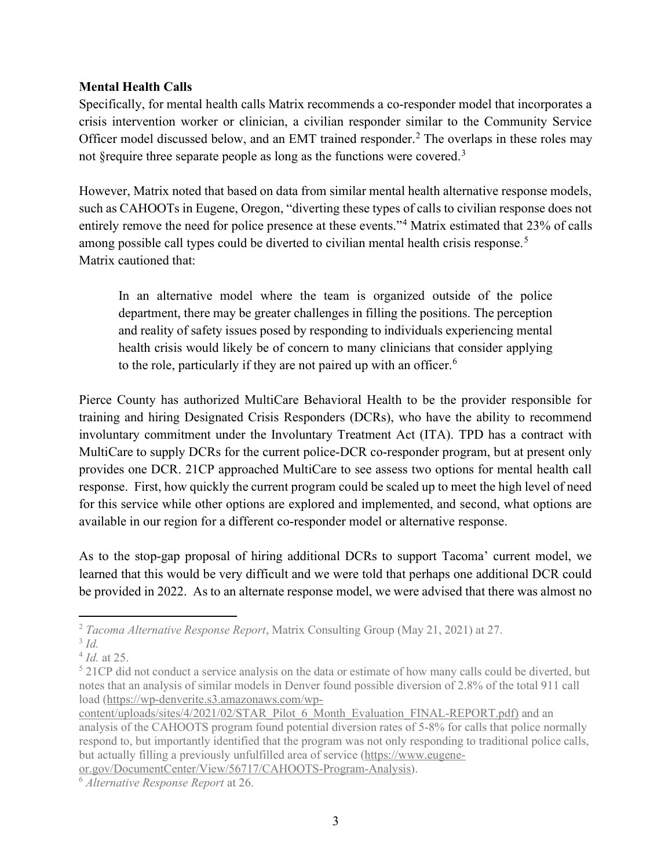## Mental Health Calls

Specifically, for mental health calls Matrix recommends a co-responder model that incorporates a crisis intervention worker or clinician, a civilian responder similar to the Community Service Officer model discussed below, and an EMT trained responder.<sup>2</sup> The overlaps in these roles may not §require three separate people as long as the functions were covered.<sup>3</sup>

However, Matrix noted that based on data from similar mental health alternative response models, such as CAHOOTs in Eugene, Oregon, "diverting these types of calls to civilian response does not entirely remove the need for police presence at these events."<sup>4</sup> Matrix estimated that 23% of calls among possible call types could be diverted to civilian mental health crisis response.<sup>5</sup> Matrix cautioned that:

In an alternative model where the team is organized outside of the police department, there may be greater challenges in filling the positions. The perception and reality of safety issues posed by responding to individuals experiencing mental health crisis would likely be of concern to many clinicians that consider applying to the role, particularly if they are not paired up with an officer.<sup>6</sup>

Pierce County has authorized MultiCare Behavioral Health to be the provider responsible for training and hiring Designated Crisis Responders (DCRs), who have the ability to recommend involuntary commitment under the Involuntary Treatment Act (ITA). TPD has a contract with MultiCare to supply DCRs for the current police-DCR co-responder program, but at present only provides one DCR. 21CP approached MultiCare to see assess two options for mental health call response. First, how quickly the current program could be scaled up to meet the high level of need for this service while other options are explored and implemented, and second, what options are available in our region for a different co-responder model or alternative response.

As to the stop-gap proposal of hiring additional DCRs to support Tacoma' current model, we learned that this would be very difficult and we were told that perhaps one additional DCR could be provided in 2022. As to an alternate response model, we were advised that there was almost no

or.gov/DocumentCenter/View/56717/CAHOOTS-Program-Analysis).

<sup>2</sup> Tacoma Alternative Response Report, Matrix Consulting Group (May 21, 2021) at 27.

 $3$  Id.

 $4$  Id. at 25.

<sup>&</sup>lt;sup>5</sup> 21CP did not conduct a service analysis on the data or estimate of how many calls could be diverted, but notes that an analysis of similar models in Denver found possible diversion of 2.8% of the total 911 call load (https://wp-denverite.s3.amazonaws.com/wp-

content/uploads/sites/4/2021/02/STAR\_Pilot\_6\_Month\_Evaluation\_FINAL-REPORT.pdf) and an analysis of the CAHOOTS program found potential diversion rates of 5-8% for calls that police normally respond to, but importantly identified that the program was not only responding to traditional police calls, but actually filling a previously unfulfilled area of service (https://www.eugene-

<sup>6</sup> Alternative Response Report at 26.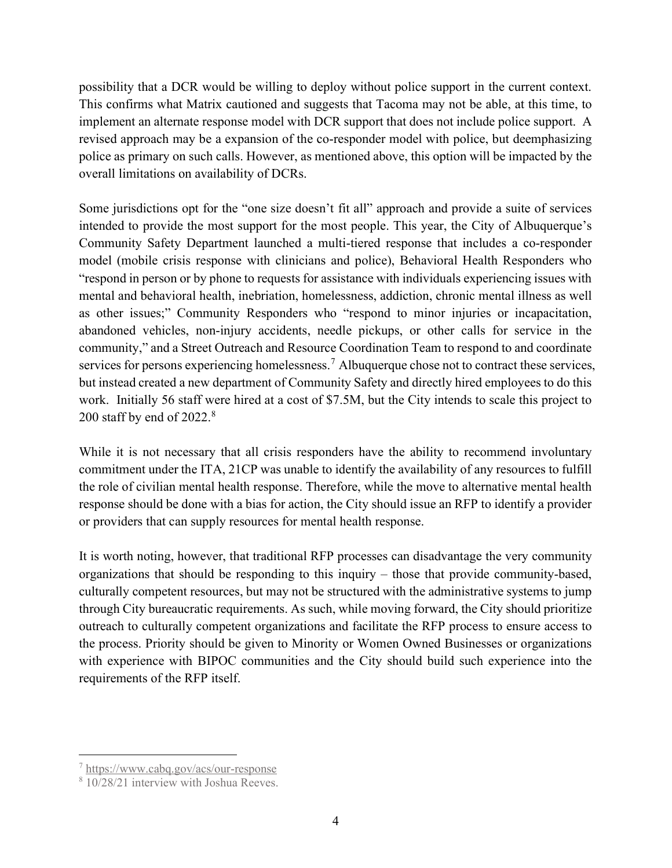possibility that a DCR would be willing to deploy without police support in the current context. This confirms what Matrix cautioned and suggests that Tacoma may not be able, at this time, to implement an alternate response model with DCR support that does not include police support. A revised approach may be a expansion of the co-responder model with police, but deemphasizing police as primary on such calls. However, as mentioned above, this option will be impacted by the overall limitations on availability of DCRs.

Some jurisdictions opt for the "one size doesn't fit all" approach and provide a suite of services intended to provide the most support for the most people. This year, the City of Albuquerque's Community Safety Department launched a multi-tiered response that includes a co-responder model (mobile crisis response with clinicians and police), Behavioral Health Responders who "respond in person or by phone to requests for assistance with individuals experiencing issues with mental and behavioral health, inebriation, homelessness, addiction, chronic mental illness as well as other issues;" Community Responders who "respond to minor injuries or incapacitation, abandoned vehicles, non-injury accidents, needle pickups, or other calls for service in the community," and a Street Outreach and Resource Coordination Team to respond to and coordinate services for persons experiencing homelessness.<sup>7</sup> Albuquerque chose not to contract these services, but instead created a new department of Community Safety and directly hired employees to do this work. Initially 56 staff were hired at a cost of \$7.5M, but the City intends to scale this project to 200 staff by end of  $2022<sup>8</sup>$ 

While it is not necessary that all crisis responders have the ability to recommend involuntary commitment under the ITA, 21CP was unable to identify the availability of any resources to fulfill the role of civilian mental health response. Therefore, while the move to alternative mental health response should be done with a bias for action, the City should issue an RFP to identify a provider or providers that can supply resources for mental health response.

It is worth noting, however, that traditional RFP processes can disadvantage the very community organizations that should be responding to this inquiry – those that provide community-based, culturally competent resources, but may not be structured with the administrative systems to jump through City bureaucratic requirements. As such, while moving forward, the City should prioritize outreach to culturally competent organizations and facilitate the RFP process to ensure access to the process. Priority should be given to Minority or Women Owned Businesses or organizations with experience with BIPOC communities and the City should build such experience into the requirements of the RFP itself.

<sup>7</sup> https://www.cabq.gov/acs/our-response

<sup>8</sup> 10/28/21 interview with Joshua Reeves.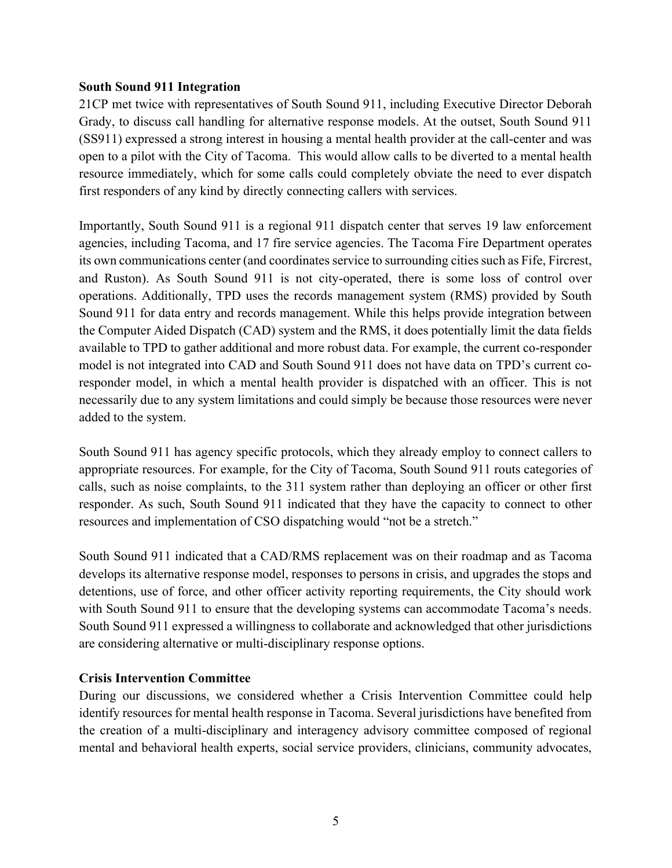#### South Sound 911 Integration

21CP met twice with representatives of South Sound 911, including Executive Director Deborah Grady, to discuss call handling for alternative response models. At the outset, South Sound 911 (SS911) expressed a strong interest in housing a mental health provider at the call-center and was open to a pilot with the City of Tacoma. This would allow calls to be diverted to a mental health resource immediately, which for some calls could completely obviate the need to ever dispatch first responders of any kind by directly connecting callers with services.

Importantly, South Sound 911 is a regional 911 dispatch center that serves 19 law enforcement agencies, including Tacoma, and 17 fire service agencies. The Tacoma Fire Department operates its own communications center (and coordinates service to surrounding cities such as Fife, Fircrest, and Ruston). As South Sound 911 is not city-operated, there is some loss of control over operations. Additionally, TPD uses the records management system (RMS) provided by South Sound 911 for data entry and records management. While this helps provide integration between the Computer Aided Dispatch (CAD) system and the RMS, it does potentially limit the data fields available to TPD to gather additional and more robust data. For example, the current co-responder model is not integrated into CAD and South Sound 911 does not have data on TPD's current coresponder model, in which a mental health provider is dispatched with an officer. This is not necessarily due to any system limitations and could simply be because those resources were never added to the system.

South Sound 911 has agency specific protocols, which they already employ to connect callers to appropriate resources. For example, for the City of Tacoma, South Sound 911 routs categories of calls, such as noise complaints, to the 311 system rather than deploying an officer or other first responder. As such, South Sound 911 indicated that they have the capacity to connect to other resources and implementation of CSO dispatching would "not be a stretch."

South Sound 911 indicated that a CAD/RMS replacement was on their roadmap and as Tacoma develops its alternative response model, responses to persons in crisis, and upgrades the stops and detentions, use of force, and other officer activity reporting requirements, the City should work with South Sound 911 to ensure that the developing systems can accommodate Tacoma's needs. South Sound 911 expressed a willingness to collaborate and acknowledged that other jurisdictions are considering alternative or multi-disciplinary response options.

#### Crisis Intervention Committee

During our discussions, we considered whether a Crisis Intervention Committee could help identify resources for mental health response in Tacoma. Several jurisdictions have benefited from the creation of a multi-disciplinary and interagency advisory committee composed of regional mental and behavioral health experts, social service providers, clinicians, community advocates,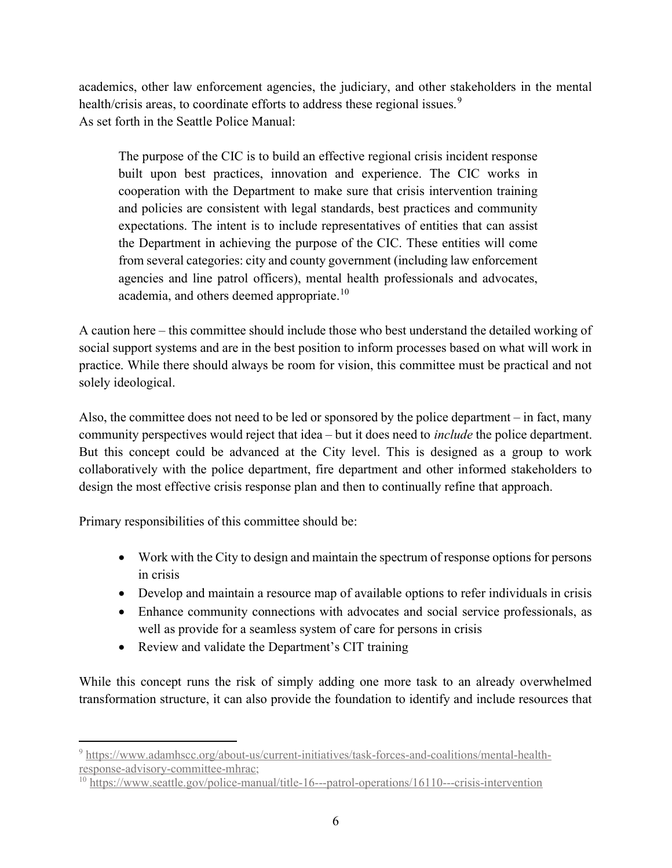academics, other law enforcement agencies, the judiciary, and other stakeholders in the mental health/crisis areas, to coordinate efforts to address these regional issues.<sup>9</sup> As set forth in the Seattle Police Manual:

The purpose of the CIC is to build an effective regional crisis incident response built upon best practices, innovation and experience. The CIC works in cooperation with the Department to make sure that crisis intervention training and policies are consistent with legal standards, best practices and community expectations. The intent is to include representatives of entities that can assist the Department in achieving the purpose of the CIC. These entities will come from several categories: city and county government (including law enforcement agencies and line patrol officers), mental health professionals and advocates, academia, and others deemed appropriate.<sup>10</sup>

A caution here – this committee should include those who best understand the detailed working of social support systems and are in the best position to inform processes based on what will work in practice. While there should always be room for vision, this committee must be practical and not solely ideological.

Also, the committee does not need to be led or sponsored by the police department – in fact, many community perspectives would reject that idea – but it does need to include the police department. But this concept could be advanced at the City level. This is designed as a group to work collaboratively with the police department, fire department and other informed stakeholders to design the most effective crisis response plan and then to continually refine that approach.

Primary responsibilities of this committee should be:

- Work with the City to design and maintain the spectrum of response options for persons in crisis
- Develop and maintain a resource map of available options to refer individuals in crisis
- Enhance community connections with advocates and social service professionals, as well as provide for a seamless system of care for persons in crisis
- Review and validate the Department's CIT training

While this concept runs the risk of simply adding one more task to an already overwhelmed transformation structure, it can also provide the foundation to identify and include resources that

<sup>&</sup>lt;sup>9</sup> https://www.adamhscc.org/about-us/current-initiatives/task-forces-and-coalitions/mental-healthresponse-advisory-committee-mhrac;

<sup>&</sup>lt;sup>10</sup> https://www.seattle.gov/police-manual/title-16---patrol-operations/16110---crisis-intervention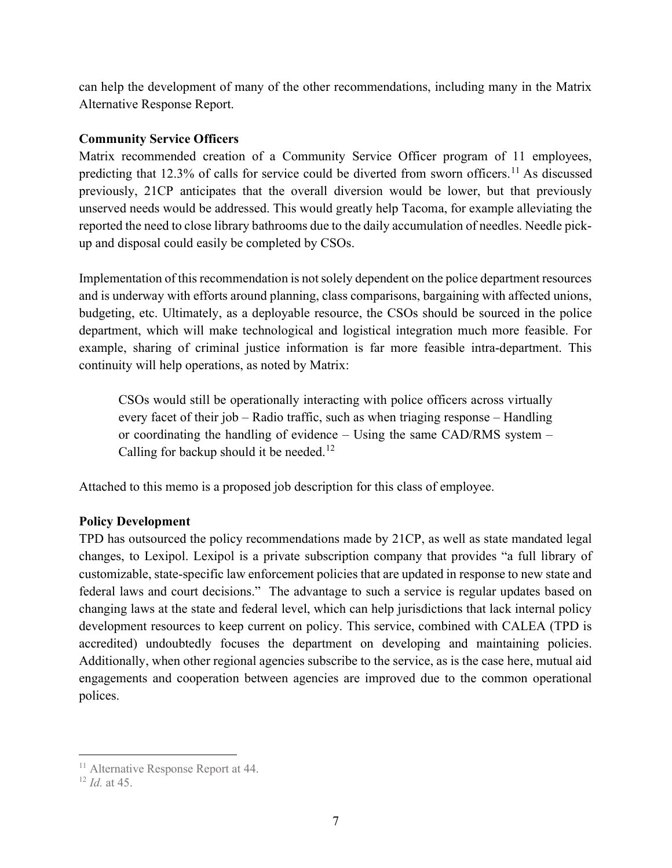can help the development of many of the other recommendations, including many in the Matrix Alternative Response Report.

# Community Service Officers

Matrix recommended creation of a Community Service Officer program of 11 employees, predicting that 12.3% of calls for service could be diverted from sworn officers.<sup>11</sup> As discussed previously, 21CP anticipates that the overall diversion would be lower, but that previously unserved needs would be addressed. This would greatly help Tacoma, for example alleviating the reported the need to close library bathrooms due to the daily accumulation of needles. Needle pickup and disposal could easily be completed by CSOs.

Implementation of this recommendation is not solely dependent on the police department resources and is underway with efforts around planning, class comparisons, bargaining with affected unions, budgeting, etc. Ultimately, as a deployable resource, the CSOs should be sourced in the police department, which will make technological and logistical integration much more feasible. For example, sharing of criminal justice information is far more feasible intra-department. This continuity will help operations, as noted by Matrix:

CSOs would still be operationally interacting with police officers across virtually every facet of their job – Radio traffic, such as when triaging response – Handling or coordinating the handling of evidence – Using the same CAD/RMS system – Calling for backup should it be needed.<sup>12</sup>

Attached to this memo is a proposed job description for this class of employee.

# Policy Development

TPD has outsourced the policy recommendations made by 21CP, as well as state mandated legal changes, to Lexipol. Lexipol is a private subscription company that provides "a full library of customizable, state-specific law enforcement policies that are updated in response to new state and federal laws and court decisions." The advantage to such a service is regular updates based on changing laws at the state and federal level, which can help jurisdictions that lack internal policy development resources to keep current on policy. This service, combined with CALEA (TPD is accredited) undoubtedly focuses the department on developing and maintaining policies. Additionally, when other regional agencies subscribe to the service, as is the case here, mutual aid engagements and cooperation between agencies are improved due to the common operational polices.

<sup>&</sup>lt;sup>11</sup> Alternative Response Report at 44.

 $12$  *Id.* at 45.